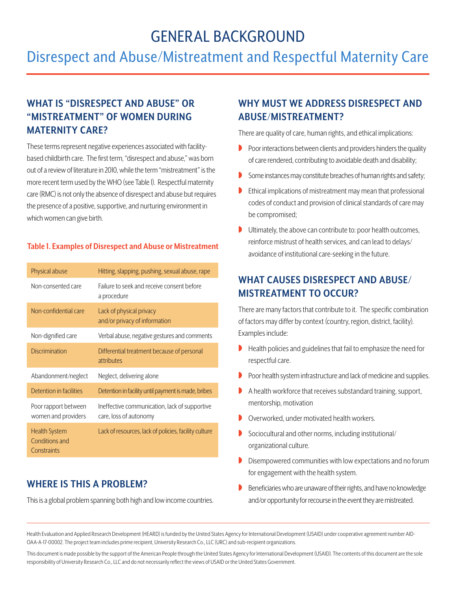# GENERAL BACKGROUND

# Disrespect and Abuse/Mistreatment and Respectful Maternity Care

## **WHAT IS "DISRESPECT AND ABUSE" OR "MISTREATMENT" OF WOMEN DURING MATERNITY CARE?**

These terms represent negative experiences associated with facilitybased childbirth care. The first term, "disrespect and abuse," was born out of a review of literature in 2010, while the term "mistreatment" is the more recent term used by the WHO (see Table 1). Respectful maternity care (RMC) is not only the absence of disrespect and abuse but requires the presence of a positive, supportive, and nurturing environment in which women can give birth.

#### **Table 1. Examples of Disrespect and Abuse or Mistreatment**

| Physical abuse                                               | Hitting, slapping, pushing, sexual abuse, rape                          |
|--------------------------------------------------------------|-------------------------------------------------------------------------|
| Non-consented care                                           | Failure to seek and receive consent before<br>a procedure               |
| Non-confidential care                                        | Lack of physical privacy<br>and/or privacy of information               |
| Non-dignified care                                           | Verbal abuse, negative gestures and comments                            |
| <b>Discrimination</b>                                        | Differential treatment because of personal<br>attributes                |
| Abandonment/neglect                                          | Neglect, delivering alone                                               |
| Detention in facilities                                      | Detention in facility until payment is made, bribes                     |
| Poor rapport between<br>women and providers                  | Ineffective communication, lack of supportive<br>care, loss of autonomy |
| <b>Health System</b><br><b>Conditions and</b><br>Constraints | Lack of resources, lack of policies, facility culture                   |

### **WHERE IS THIS A PROBLEM?**

This is a global problem spanning both high and low income countries.

### **WHY MUST WE ADDRESS DISRESPECT AND ABUSE/MISTREATMENT?**

There are quality of care, human rights, and ethical implications:

- $\triangleright$  Poor interactions between clients and providers hinders the quality of care rendered, contributing to avoidable death and disability;
- Some instances may constitute breaches of human rights and safety;
- $\blacktriangleright$  Ethical implications of mistreatment may mean that professional codes of conduct and provision of clinical standards of care may be compromised;
- $\blacksquare$  Ultimately, the above can contribute to: poor health outcomes, reinforce mistrust of health services, and can lead to delays/ avoidance of institutional care-seeking in the future.

### **WHAT CAUSES DISRESPECT AND ABUSE/ MISTREATMENT TO OCCUR?**

There are many factors that contribute to it. The specific combination of factors may differ by context (country, region, district, facility). Examples include:

- $\blacktriangleright$  Health policies and guidelines that fail to emphasize the need for respectful care.
- $\triangleright$  Poor health system infrastructure and lack of medicine and supplies.
- $\blacktriangleright$  A health workforce that receives substandard training, support, mentorship, motivation
- $\triangleright$  Overworked, under motivated health workers.
- $\triangleright$  Sociocultural and other norms, including institutional/ organizational culture.
- $\triangleright$  Disempowered communities with low expectations and no forum for engagement with the health system.
- Beneficiaries who are unaware of their rights, and have no knowledge and/or opportunity for recourse in the event they are mistreated.

Health Evaluation and Applied Research Development (HEARD) is funded by the United States Agency for International Development (USAID) under cooperative agreement number AID-OAA-A-17-00002. The project team includes prime recipient, University Research Co., LLC (URC) and sub-recipient organizations.

This document is made possible by the support of the American People through the United States Agency for International Development (USAID). The contents of this document are the sole responsibility of University Research Co., LLC and do not necessarily reflect the views of USAID or the United States Government.